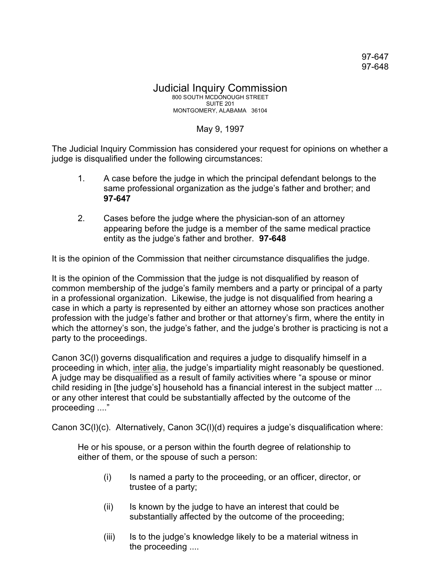## Judicial Inquiry Commission 800 SOUTH MCDONOUGH STREET SUITE 201 MONTGOMERY, ALABAMA 36104

## May 9, 1997

The Judicial Inquiry Commission has considered your request for opinions on whether a judge is disqualified under the following circumstances:

- 1. A case before the judge in which the principal defendant belongs to the same professional organization as the judge's father and brother; and **97-647**
- 2. Cases before the judge where the physician-son of an attorney appearing before the judge is a member of the same medical practice entity as the judge's father and brother. **97-648**

It is the opinion of the Commission that neither circumstance disqualifies the judge.

It is the opinion of the Commission that the judge is not disqualified by reason of common membership of the judge's family members and a party or principal of a party in a professional organization. Likewise, the judge is not disqualified from hearing a case in which a party is represented by either an attorney whose son practices another profession with the judge's father and brother or that attorney's firm, where the entity in which the attorney's son, the judge's father, and the judge's brother is practicing is not a party to the proceedings.

Canon 3C(l) governs disqualification and requires a judge to disqualify himself in a proceeding in which, inter alia, the judge's impartiality might reasonably be questioned. A judge may be disqualified as a result of family activities where "a spouse or minor child residing in [the judge's] household has a financial interest in the subject matter ... or any other interest that could be substantially affected by the outcome of the proceeding ...."

Canon 3C(l)(c). Alternatively, Canon 3C(l)(d) requires a judge's disqualification where:

He or his spouse, or a person within the fourth degree of relationship to either of them, or the spouse of such a person:

- (i) Is named a party to the proceeding, or an officer, director, or trustee of a party;
- (ii) Is known by the judge to have an interest that could be substantially affected by the outcome of the proceeding;
- (iii) Is to the judge's knowledge likely to be a material witness in the proceeding ....